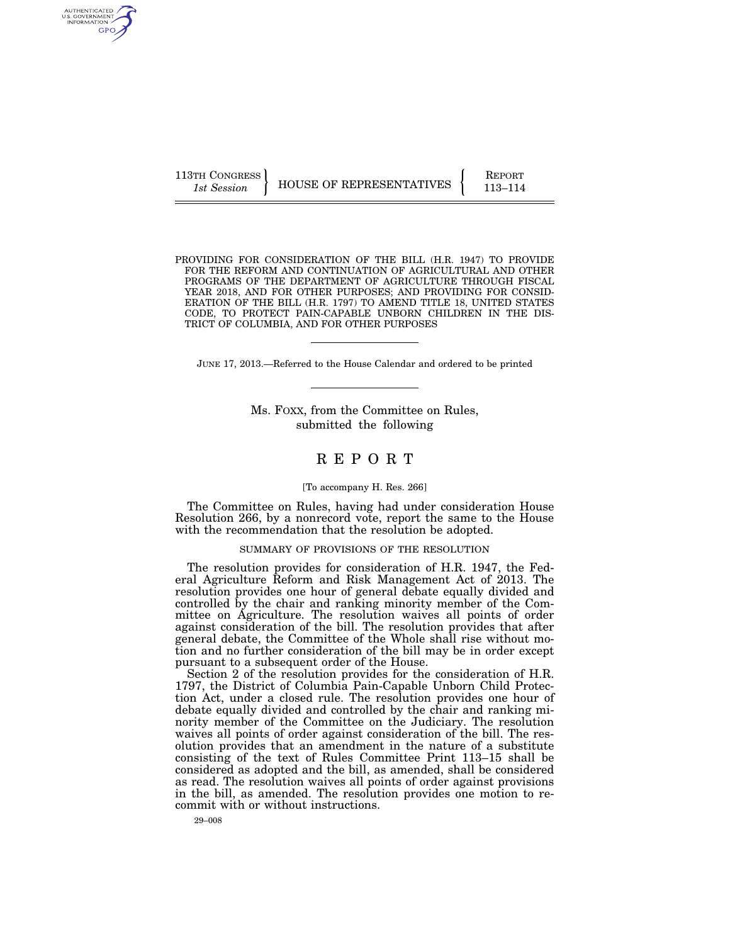113TH CONGRESS HOUSE OF REPRESENTATIVES FEPORT 113-114

PROVIDING FOR CONSIDERATION OF THE BILL (H.R. 1947) TO PROVIDE FOR THE REFORM AND CONTINUATION OF AGRICULTURAL AND OTHER PROGRAMS OF THE DEPARTMENT OF AGRICULTURE THROUGH FISCAL YEAR 2018, AND FOR OTHER PURPOSES; AND PROVIDING FOR CONSID-ERATION OF THE BILL (H.R. 1797) TO AMEND TITLE 18, UNITED STATES CODE, TO PROTECT PAIN-CAPABLE UNBORN CHILDREN IN THE DIS-TRICT OF COLUMBIA, AND FOR OTHER PURPOSES

JUNE 17, 2013.—Referred to the House Calendar and ordered to be printed

Ms. FOXX, from the Committee on Rules, submitted the following

# R E P O R T

#### [To accompany H. Res. 266]

The Committee on Rules, having had under consideration House Resolution 266, by a nonrecord vote, report the same to the House with the recommendation that the resolution be adopted.

# SUMMARY OF PROVISIONS OF THE RESOLUTION

The resolution provides for consideration of H.R. 1947, the Federal Agriculture Reform and Risk Management Act of 2013. The resolution provides one hour of general debate equally divided and controlled by the chair and ranking minority member of the Committee on Agriculture. The resolution waives all points of order against consideration of the bill. The resolution provides that after general debate, the Committee of the Whole shall rise without motion and no further consideration of the bill may be in order except pursuant to a subsequent order of the House.

Section 2 of the resolution provides for the consideration of H.R. 1797, the District of Columbia Pain-Capable Unborn Child Protection Act, under a closed rule. The resolution provides one hour of debate equally divided and controlled by the chair and ranking minority member of the Committee on the Judiciary. The resolution waives all points of order against consideration of the bill. The resolution provides that an amendment in the nature of a substitute consisting of the text of Rules Committee Print 113–15 shall be considered as adopted and the bill, as amended, shall be considered as read. The resolution waives all points of order against provisions in the bill, as amended. The resolution provides one motion to recommit with or without instructions.

AUTHENTICATED<br>U.S. GOVERNMENT<br>INFORMATION GPO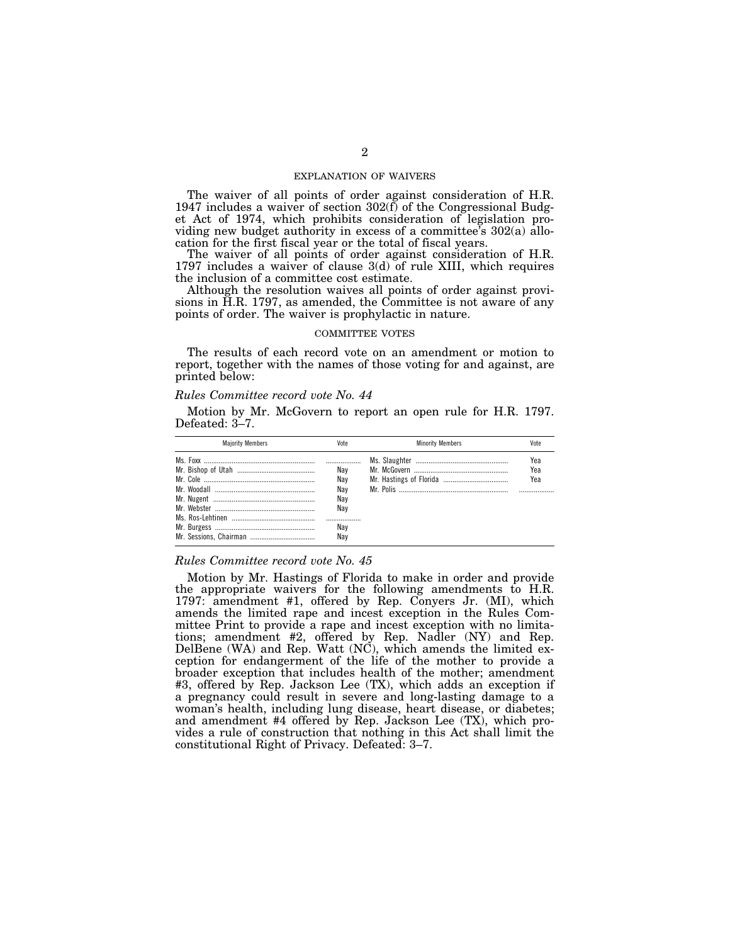## EXPLANATION OF WAIVERS

The waiver of all points of order against consideration of H.R. 1947 includes a waiver of section  $302(f)$  of the Congressional Budget Act of 1974, which prohibits consideration of legislation providing new budget authority in excess of a committee's 302(a) allocation for the first fiscal year or the total of fiscal years.

The waiver of all points of order against consideration of H.R. 1797 includes a waiver of clause 3(d) of rule XIII, which requires the inclusion of a committee cost estimate.

Although the resolution waives all points of order against provisions in H.R. 1797, as amended, the Committee is not aware of any points of order. The waiver is prophylactic in nature.

## COMMITTEE VOTES

The results of each record vote on an amendment or motion to report, together with the names of those voting for and against, are printed below:

#### *Rules Committee record vote No. 44*

Motion by Mr. McGovern to report an open rule for H.R. 1797. Defeated: 3–7.

| <b>Maiority Members</b> | Vote                            | <b>Minority Members</b> | Vote              |
|-------------------------|---------------------------------|-------------------------|-------------------|
|                         | Nav<br>Nav<br>Nav<br>Nav<br>Nav |                         | Yea<br>Yea<br>Yea |
|                         | <br>Nav<br>Nav                  |                         |                   |

# *Rules Committee record vote No. 45*

Motion by Mr. Hastings of Florida to make in order and provide the appropriate waivers for the following amendments to H.R. 1797: amendment #1, offered by Rep. Conyers Jr. (MI), which amends the limited rape and incest exception in the Rules Committee Print to provide a rape and incest exception with no limitations; amendment #2, offered by Rep. Nadler (NY) and Rep. DelBene (WA) and Rep. Watt (NC), which amends the limited exception for endangerment of the life of the mother to provide a broader exception that includes health of the mother; amendment #3, offered by Rep. Jackson Lee (TX), which adds an exception if a pregnancy could result in severe and long-lasting damage to a woman's health, including lung disease, heart disease, or diabetes; and amendment #4 offered by Rep. Jackson Lee (TX), which provides a rule of construction that nothing in this Act shall limit the constitutional Right of Privacy. Defeated: 3–7.